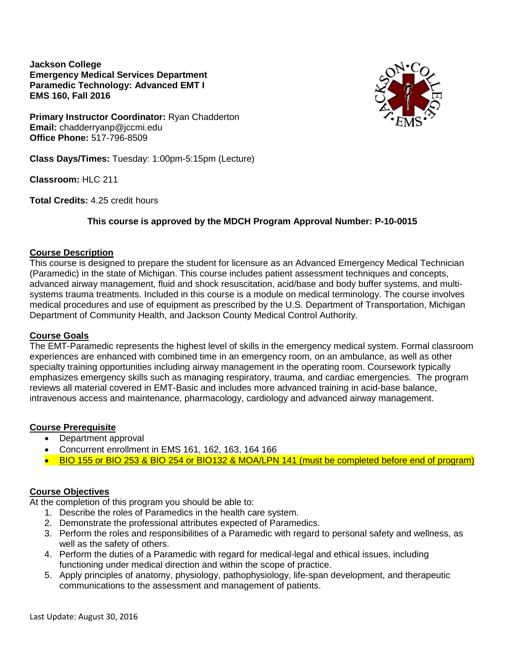**Jackson College Emergency Medical Services Department Paramedic Technology: Advanced EMT I EMS 160, Fall 2016**



**Primary Instructor Coordinator:** Ryan Chadderton **Email:** chadderryanp@jccmi.edu **Office Phone:** 517-796-8509

**Class Days/Times:** Tuesday: 1:00pm-5:15pm (Lecture)

**Classroom:** HLC 211

**Total Credits:** 4.25 credit hours

## **This course is approved by the MDCH Program Approval Number: P-10-0015**

### **Course Description**

This course is designed to prepare the student for licensure as an Advanced Emergency Medical Technician (Paramedic) in the state of Michigan. This course includes patient assessment techniques and concepts, advanced airway management, fluid and shock resuscitation, acid/base and body buffer systems, and multisystems trauma treatments. Included in this course is a module on medical terminology. The course involves medical procedures and use of equipment as prescribed by the U.S. Department of Transportation, Michigan Department of Community Health, and Jackson County Medical Control Authority.

### **Course Goals**

The EMT-Paramedic represents the highest level of skills in the emergency medical system. Formal classroom experiences are enhanced with combined time in an emergency room, on an ambulance, as well as other specialty training opportunities including airway management in the operating room. Coursework typically emphasizes emergency skills such as managing respiratory, trauma, and cardiac emergencies. The program reviews all material covered in EMT-Basic and includes more advanced training in acid-base balance, intravenous access and maintenance, pharmacology, cardiology and advanced airway management.

### **Course Prerequisite**

- Department approval
- Concurrent enrollment in EMS 161, 162, 163, 164 166
- BIO 155 or BIO 253 & BIO 254 or BIO132 & MOA/LPN 141 (must be completed before end of program)

## **Course Objectives**

At the completion of this program you should be able to:

- 1. Describe the roles of Paramedics in the health care system.
- 2. Demonstrate the professional attributes expected of Paramedics.
- 3. Perform the roles and responsibilities of a Paramedic with regard to personal safety and wellness, as well as the safety of others.
- 4. Perform the duties of a Paramedic with regard for medical-legal and ethical issues, including functioning under medical direction and within the scope of practice.
- 5. Apply principles of anatomy, physiology, pathophysiology, life-span development, and therapeutic communications to the assessment and management of patients.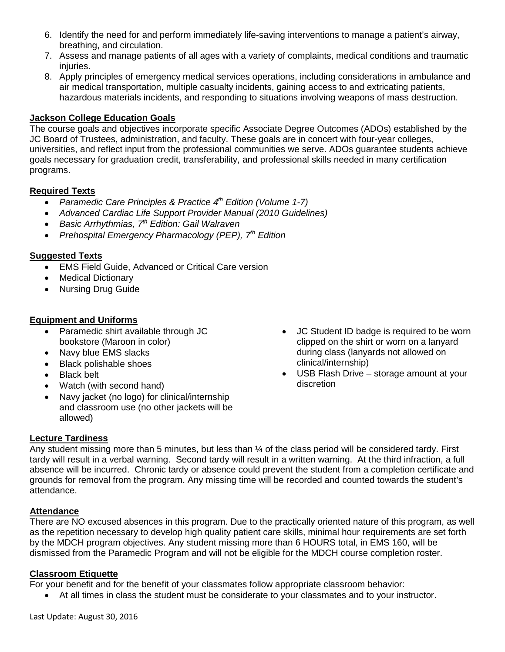- 6. Identify the need for and perform immediately life-saving interventions to manage a patient's airway, breathing, and circulation.
- 7. Assess and manage patients of all ages with a variety of complaints, medical conditions and traumatic iniuries.
- 8. Apply principles of emergency medical services operations, including considerations in ambulance and air medical transportation, multiple casualty incidents, gaining access to and extricating patients, hazardous materials incidents, and responding to situations involving weapons of mass destruction.

## **Jackson College Education Goals**

The course goals and objectives incorporate specific Associate Degree Outcomes (ADOs) established by the JC Board of Trustees, administration, and faculty. These goals are in concert with four-year colleges, universities, and reflect input from the professional communities we serve. ADOs guarantee students achieve goals necessary for graduation credit, transferability, and professional skills needed in many certification programs.

## **Required Texts**

- *Paramedic Care Principles & Practice 4th Edition (Volume 1-7)*
- *Advanced Cardiac Life Support Provider Manual (2010 Guidelines)*
- *Basic Arrhythmias, 7th Edition: Gail Walraven*
- *Prehospital Emergency Pharmacology (PEP), 7th Edition*

## **Suggested Texts**

- **EMS Field Guide, Advanced or Critical Care version**
- Medical Dictionary
- Nursing Drug Guide

## **Equipment and Uniforms**

- Paramedic shirt available through JC bookstore (Maroon in color)
- Navy blue EMS slacks
- Black polishable shoes
- Black belt
- Watch (with second hand)
- Navy jacket (no logo) for clinical/internship and classroom use (no other jackets will be allowed)
- JC Student ID badge is required to be worn clipped on the shirt or worn on a lanyard during class (lanyards not allowed on clinical/internship)
- USB Flash Drive storage amount at your discretion

# **Lecture Tardiness**

Any student missing more than 5 minutes, but less than ¼ of the class period will be considered tardy. First tardy will result in a verbal warning. Second tardy will result in a written warning. At the third infraction, a full absence will be incurred. Chronic tardy or absence could prevent the student from a completion certificate and grounds for removal from the program. Any missing time will be recorded and counted towards the student's attendance.

## **Attendance**

There are NO excused absences in this program. Due to the practically oriented nature of this program, as well as the repetition necessary to develop high quality patient care skills, minimal hour requirements are set forth by the MDCH program objectives. Any student missing more than 6 HOURS total, in EMS 160, will be dismissed from the Paramedic Program and will not be eligible for the MDCH course completion roster.

## **Classroom Etiquette**

For your benefit and for the benefit of your classmates follow appropriate classroom behavior:

• At all times in class the student must be considerate to your classmates and to your instructor.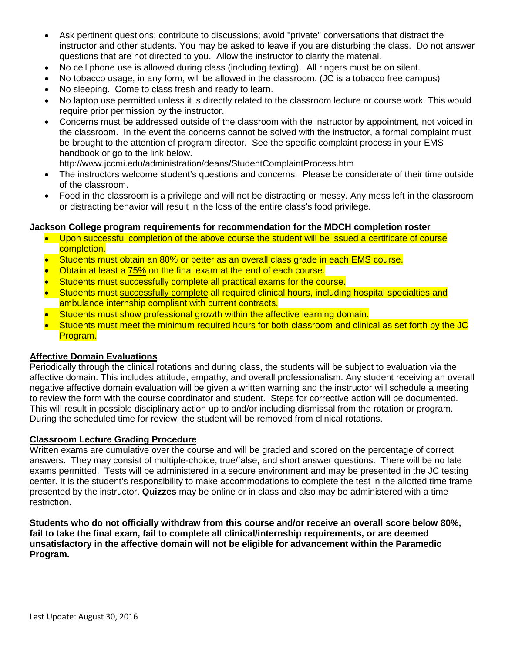- Ask pertinent questions; contribute to discussions; avoid "private" conversations that distract the instructor and other students. You may be asked to leave if you are disturbing the class. Do not answer questions that are not directed to you. Allow the instructor to clarify the material.
- No cell phone use is allowed during class (including texting). All ringers must be on silent.
- No tobacco usage, in any form, will be allowed in the classroom. (JC is a tobacco free campus)
- No sleeping. Come to class fresh and ready to learn.
- No laptop use permitted unless it is directly related to the classroom lecture or course work. This would require prior permission by the instructor.
- Concerns must be addressed outside of the classroom with the instructor by appointment, not voiced in the classroom. In the event the concerns cannot be solved with the instructor, a formal complaint must be brought to the attention of program director. See the specific complaint process in your EMS handbook or go to the link below.

http://www.jccmi.edu/administration/deans/StudentComplaintProcess.htm

- The instructors welcome student's questions and concerns. Please be considerate of their time outside of the classroom.
- Food in the classroom is a privilege and will not be distracting or messy. Any mess left in the classroom or distracting behavior will result in the loss of the entire class's food privilege.

### **Jackson College program requirements for recommendation for the MDCH completion roster**

- Upon successful completion of the above course the student will be issued a certificate of course completion.
- Students must obtain an 80% or better as an overall class grade in each EMS course.
- Obtain at least a 75% on the final exam at the end of each course.
- Students must successfully complete all practical exams for the course.
- Students must successfully complete all required clinical hours, including hospital specialties and ambulance internship compliant with current contracts.
- Students must show professional growth within the affective learning domain.
- Students must meet the minimum required hours for both classroom and clinical as set forth by the JC Program.

#### **Affective Domain Evaluations**

Periodically through the clinical rotations and during class, the students will be subject to evaluation via the affective domain. This includes attitude, empathy, and overall professionalism. Any student receiving an overall negative affective domain evaluation will be given a written warning and the instructor will schedule a meeting to review the form with the course coordinator and student. Steps for corrective action will be documented. This will result in possible disciplinary action up to and/or including dismissal from the rotation or program. During the scheduled time for review, the student will be removed from clinical rotations.

#### **Classroom Lecture Grading Procedure**

Written exams are cumulative over the course and will be graded and scored on the percentage of correct answers. They may consist of multiple-choice, true/false, and short answer questions. There will be no late exams permitted. Tests will be administered in a secure environment and may be presented in the JC testing center. It is the student's responsibility to make accommodations to complete the test in the allotted time frame presented by the instructor. **Quizzes** may be online or in class and also may be administered with a time restriction.

**Students who do not officially withdraw from this course and/or receive an overall score below 80%, fail to take the final exam, fail to complete all clinical/internship requirements, or are deemed unsatisfactory in the affective domain will not be eligible for advancement within the Paramedic Program.**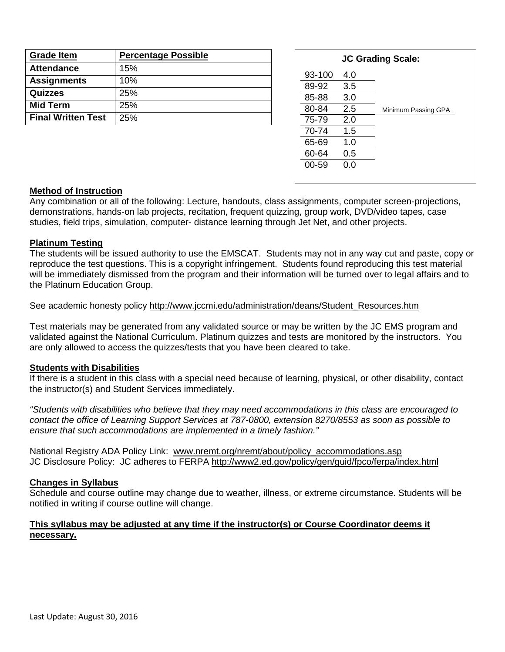| <b>Grade Item</b>         | <b>Percentage Possible</b> |
|---------------------------|----------------------------|
| <b>Attendance</b>         | 15%                        |
| <b>Assignments</b>        | 10%                        |
| Quizzes                   | 25%                        |
| <b>Mid Term</b>           | 25%                        |
| <b>Final Written Test</b> | 25%                        |

| <b>JC Grading Scale:</b> |     |                     |  |  |
|--------------------------|-----|---------------------|--|--|
| 93-100                   | 4.0 |                     |  |  |
| 89-92                    | 3.5 |                     |  |  |
| 85-88                    | 3.0 |                     |  |  |
| 80-84                    | 2.5 | Minimum Passing GPA |  |  |
| 75-79                    | 2.0 |                     |  |  |
| 70-74                    | 1.5 |                     |  |  |
| 65-69                    | 1.0 |                     |  |  |
| 60-64                    | 0.5 |                     |  |  |
| 00-59                    | 0.0 |                     |  |  |
|                          |     |                     |  |  |

#### **Method of Instruction**

Any combination or all of the following: Lecture, handouts, class assignments, computer screen-projections, demonstrations, hands-on lab projects, recitation, frequent quizzing, group work, DVD/video tapes, case studies, field trips, simulation, computer- distance learning through Jet Net, and other projects.

#### **Platinum Testing**

The students will be issued authority to use the EMSCAT. Students may not in any way cut and paste, copy or reproduce the test questions. This is a copyright infringement. Students found reproducing this test material will be immediately dismissed from the program and their information will be turned over to legal affairs and to the Platinum Education Group.

#### See academic honesty policy [http://www.jccmi.edu/administration/deans/Student\\_Resources.htm](http://www.jccmi.edu/administration/deans/Student_Resources.htm)

Test materials may be generated from any validated source or may be written by the JC EMS program and validated against the National Curriculum. Platinum quizzes and tests are monitored by the instructors. You are only allowed to access the quizzes/tests that you have been cleared to take.

#### **Students with Disabilities**

If there is a student in this class with a special need because of learning, physical, or other disability, contact the instructor(s) and Student Services immediately.

*"Students with disabilities who believe that they may need accommodations in this class are encouraged to contact the office of Learning Support Services at 787-0800, extension 8270/8553 as soon as possible to ensure that such accommodations are implemented in a timely fashion."*

National Registry ADA Policy Link: [www.nremt.org/nremt/about/policy\\_accommodations.asp](http://www.nremt.org/nremt/about/policy_accommodations.asp) JC Disclosure Policy: JC adheres to FERPA<http://www2.ed.gov/policy/gen/guid/fpco/ferpa/index.html>

#### **Changes in Syllabus**

Schedule and course outline may change due to weather, illness, or extreme circumstance. Students will be notified in writing if course outline will change.

#### **This syllabus may be adjusted at any time if the instructor(s) or Course Coordinator deems it necessary.**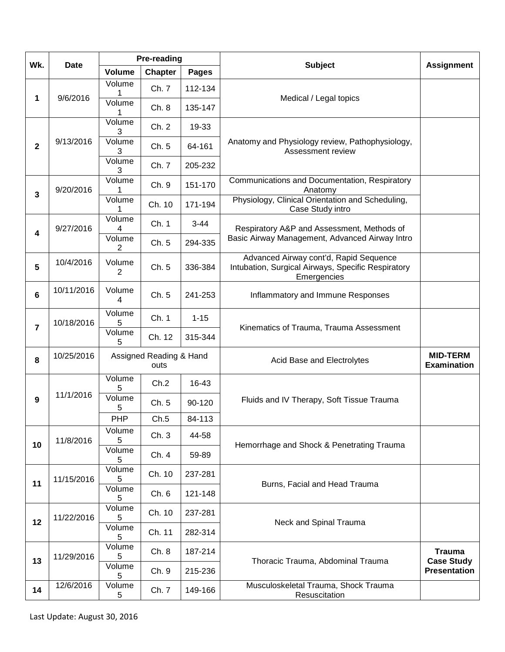| Wk.                     | <b>Date</b> | <b>Pre-reading</b>              |                |          |                                                                                                             |                                       |
|-------------------------|-------------|---------------------------------|----------------|----------|-------------------------------------------------------------------------------------------------------------|---------------------------------------|
|                         |             | <b>Volume</b>                   | <b>Chapter</b> | Pages    | <b>Subject</b>                                                                                              | <b>Assignment</b>                     |
| 1                       | 9/6/2016    | Volume<br>1                     | Ch. 7          | 112-134  | Medical / Legal topics                                                                                      |                                       |
|                         |             | Volume                          | Ch. 8          | 135-147  |                                                                                                             |                                       |
|                         |             | Volume<br>3                     | Ch. 2          | 19-33    |                                                                                                             |                                       |
| $\overline{\mathbf{2}}$ | 9/13/2016   | Volume<br>3                     | Ch. 5          | 64-161   | Anatomy and Physiology review, Pathophysiology,<br>Assessment review                                        |                                       |
|                         |             | Volume<br>3                     | Ch. 7          | 205-232  |                                                                                                             |                                       |
| $\overline{\mathbf{3}}$ | 9/20/2016   | Volume                          | Ch. 9          | 151-170  | Communications and Documentation, Respiratory<br>Anatomy                                                    |                                       |
|                         |             | Volume                          | Ch. 10         | 171-194  | Physiology, Clinical Orientation and Scheduling,<br>Case Study intro                                        |                                       |
| 4                       | 9/27/2016   | Volume<br>4                     | Ch. 1          | $3 - 44$ | Respiratory A&P and Assessment, Methods of                                                                  |                                       |
|                         |             | Volume<br>2                     | Ch. 5          | 294-335  | Basic Airway Management, Advanced Airway Intro                                                              |                                       |
| 5                       | 10/4/2016   | Volume<br>2                     | Ch. 5          | 336-384  | Advanced Airway cont'd, Rapid Sequence<br>Intubation, Surgical Airways, Specific Respiratory<br>Emergencies |                                       |
| 6                       | 10/11/2016  | Volume<br>4                     | Ch. 5          | 241-253  | Inflammatory and Immune Responses                                                                           |                                       |
| $\overline{7}$          | 10/18/2016  | Volume<br>5                     | Ch. 1          | $1 - 15$ | Kinematics of Trauma, Trauma Assessment                                                                     |                                       |
|                         |             | Volume<br>5                     | Ch. 12         | 315-344  |                                                                                                             |                                       |
| 8                       | 10/25/2016  | Assigned Reading & Hand<br>outs |                |          | Acid Base and Electrolytes                                                                                  | <b>MID-TERM</b><br><b>Examination</b> |
|                         | 11/1/2016   | Volume<br>5                     | Ch.2           | 16-43    | Fluids and IV Therapy, Soft Tissue Trauma                                                                   |                                       |
| 9                       |             | Volume<br>5                     | Ch. 5          | 90-120   |                                                                                                             |                                       |
|                         |             | PHP                             | Ch.5           | 84-113   |                                                                                                             |                                       |
| 10                      | 11/8/2016   | Volume<br>5                     | Ch.3           | 44-58    | Hemorrhage and Shock & Penetrating Trauma                                                                   |                                       |
|                         |             | Volume<br>5                     | Ch. 4          | 59-89    |                                                                                                             |                                       |
| 11                      | 11/15/2016  | Volume<br>5                     | Ch. 10         | 237-281  | Burns, Facial and Head Trauma                                                                               |                                       |
|                         |             | Volume<br>5                     | Ch. 6          | 121-148  |                                                                                                             |                                       |
| 12                      | 11/22/2016  | Volume<br>5                     | Ch. 10         | 237-281  | Neck and Spinal Trauma                                                                                      |                                       |
|                         |             | Volume<br>5                     | Ch. 11         | 282-314  |                                                                                                             |                                       |
| 13                      | 11/29/2016  | Volume<br>5                     | Ch. 8          | 187-214  | Thoracic Trauma, Abdominal Trauma                                                                           | <b>Trauma</b><br><b>Case Study</b>    |
|                         |             | Volume<br>5                     | Ch. 9          | 215-236  |                                                                                                             | <b>Presentation</b>                   |
| 14                      | 12/6/2016   | Volume<br>5                     | Ch. 7          | 149-166  | Musculoskeletal Trauma, Shock Trauma<br>Resuscitation                                                       |                                       |